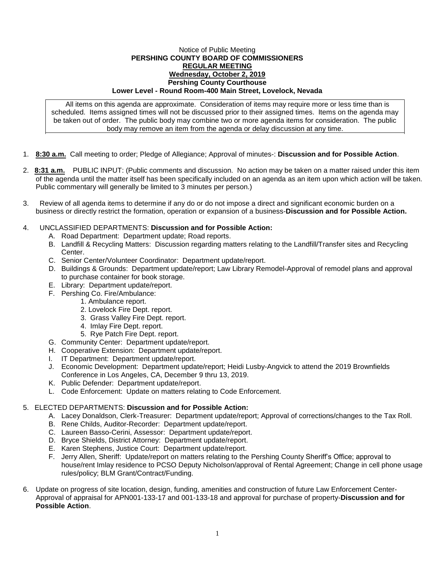## Notice of Public Meeting **PERSHING COUNTY BOARD OF COMMISSIONERS REGULAR MEETING Wednesday, October 2, 2019 Pershing County Courthouse Lower Level - Round Room-400 Main Street, Lovelock, Nevada**

All items on this agenda are approximate. Consideration of items may require more or less time than is scheduled. Items assigned times will not be discussed prior to their assigned times. Items on the agenda may be taken out of order. The public body may combine two or more agenda items for consideration. The public body may remove an item from the agenda or delay discussion at any time.

- 1. **8:30 a.m.** Call meeting to order; Pledge of Allegiance; Approval of minutes-: **Discussion and for Possible Action**.
- 2. **8:31 a.m.** PUBLIC INPUT: (Public comments and discussion. No action may be taken on a matter raised under this item of the agenda until the matter itself has been specifically included on an agenda as an item upon which action will be taken. Public commentary will generally be limited to 3 minutes per person.)
- 3. Review of all agenda items to determine if any do or do not impose a direct and significant economic burden on a business or directly restrict the formation, operation or expansion of a business-**Discussion and for Possible Action.**

## 4. UNCLASSIFIED DEPARTMENTS: **Discussion and for Possible Action:**

- A. Road Department: Department update; Road reports.
- B. Landfill & Recycling Matters: Discussion regarding matters relating to the Landfill/Transfer sites and Recycling Center.
- C. Senior Center/Volunteer Coordinator: Department update/report.
- D. Buildings & Grounds: Department update/report; Law Library Remodel-Approval of remodel plans and approval to purchase container for book storage.
- E. Library: Department update/report.
- F. Pershing Co. Fire/Ambulance:
	- 1. Ambulance report.
		- 2. Lovelock Fire Dept. report.
		- 3. Grass Valley Fire Dept. report.
		- 4. Imlay Fire Dept. report.
		- 5. Rye Patch Fire Dept. report.
- G. Community Center: Department update/report.
- H. Cooperative Extension: Department update/report.
- I. IT Department: Department update/report.
- J. Economic Development: Department update/report; Heidi Lusby-Angvick to attend the 2019 Brownfields Conference in Los Angeles, CA, December 9 thru 13, 2019.
- K. Public Defender: Department update/report.
- L. Code Enforcement: Update on matters relating to Code Enforcement.

## 5. ELECTED DEPARTMENTS: **Discussion and for Possible Action:**

- A. Lacey Donaldson, Clerk-Treasurer: Department update/report; Approval of corrections/changes to the Tax Roll.
- B. Rene Childs, Auditor-Recorder: Department update/report.
- C. Laureen Basso-Cerini, Assessor: Department update/report.
- D. Bryce Shields, District Attorney: Department update/report.
- E. Karen Stephens, Justice Court: Department update/report.
- F. Jerry Allen, Sheriff: Update/report on matters relating to the Pershing County Sheriff's Office; approval to house/rent Imlay residence to PCSO Deputy Nicholson/approval of Rental Agreement; Change in cell phone usage rules/policy; BLM Grant/Contract/Funding.
- 6. Update on progress of site location, design, funding, amenities and construction of future Law Enforcement Center-Approval of appraisal for APN001-133-17 and 001-133-18 and approval for purchase of property-**Discussion and for Possible Action**.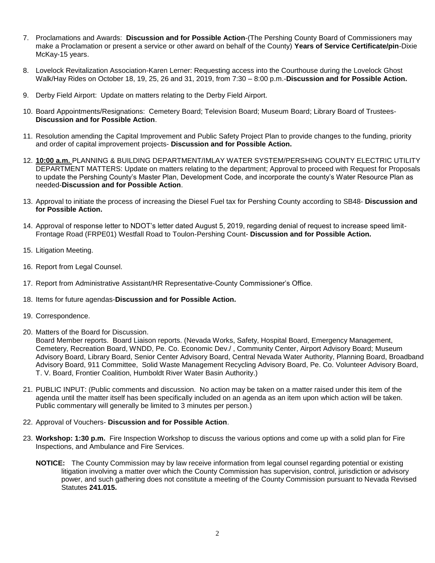- 7. Proclamations and Awards: **Discussion and for Possible Action**-(The Pershing County Board of Commissioners may make a Proclamation or present a service or other award on behalf of the County) **Years of Service Certificate/pin**-Dixie McKay-15 years.
- 8. Lovelock Revitalization Association-Karen Lerner: Requesting access into the Courthouse during the Lovelock Ghost Walk/Hay Rides on October 18, 19, 25, 26 and 31, 2019, from 7:30 – 8:00 p.m.-**Discussion and for Possible Action.**
- 9. Derby Field Airport: Update on matters relating to the Derby Field Airport.
- 10. Board Appointments/Resignations: Cemetery Board; Television Board; Museum Board; Library Board of Trustees-**Discussion and for Possible Action**.
- 11. Resolution amending the Capital Improvement and Public Safety Project Plan to provide changes to the funding, priority and order of capital improvement projects- **Discussion and for Possible Action.**
- 12. **10:00 a.m.** PLANNING & BUILDING DEPARTMENT/IMLAY WATER SYSTEM/PERSHING COUNTY ELECTRIC UTILITY DEPARTMENT MATTERS: Update on matters relating to the department; Approval to proceed with Request for Proposals to update the Pershing County's Master Plan, Development Code, and incorporate the county's Water Resource Plan as needed-**Discussion and for Possible Action**.
- 13. Approval to initiate the process of increasing the Diesel Fuel tax for Pershing County according to SB48- **Discussion and for Possible Action.**
- 14. Approval of response letter to NDOT's letter dated August 5, 2019, regarding denial of request to increase speed limit-Frontage Road (FRPE01) Westfall Road to Toulon-Pershing Count- **Discussion and for Possible Action.**
- 15. Litigation Meeting.
- 16. Report from Legal Counsel.
- 17. Report from Administrative Assistant/HR Representative-County Commissioner's Office.
- 18. Items for future agendas-**Discussion and for Possible Action.**
- 19. Correspondence.
- 20. Matters of the Board for Discussion.

Board Member reports. Board Liaison reports. (Nevada Works, Safety, Hospital Board, Emergency Management, Cemetery, Recreation Board, WNDD, Pe. Co. Economic Dev./ , Community Center, Airport Advisory Board; Museum Advisory Board, Library Board, Senior Center Advisory Board, Central Nevada Water Authority, Planning Board, Broadband Advisory Board, 911 Committee, Solid Waste Management Recycling Advisory Board, Pe. Co. Volunteer Advisory Board, T. V. Board, Frontier Coalition, Humboldt River Water Basin Authority.)

- 21. PUBLIC INPUT: (Public comments and discussion. No action may be taken on a matter raised under this item of the agenda until the matter itself has been specifically included on an agenda as an item upon which action will be taken. Public commentary will generally be limited to 3 minutes per person.)
- 22. Approval of Vouchers- **Discussion and for Possible Action**.
- 23. **Workshop: 1:30 p.m.** Fire Inspection Workshop to discuss the various options and come up with a solid plan for Fire Inspections, and Ambulance and Fire Services.
	- **NOTICE:** The County Commission may by law receive information from legal counsel regarding potential or existing litigation involving a matter over which the County Commission has supervision, control, jurisdiction or advisory power, and such gathering does not constitute a meeting of the County Commission pursuant to Nevada Revised Statutes **241.015.**